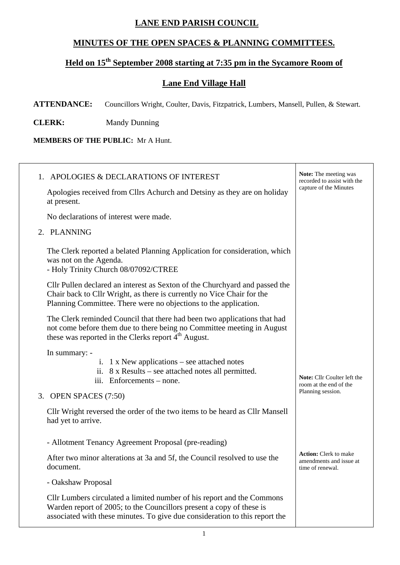## **LANE END PARISH COUNCIL**

## **MINUTES OF THE OPEN SPACES & PLANNING COMMITTEES.**

## Held on 15<sup>th</sup> September 2008 starting at 7:35 pm in the Sycamore Room of

## **Lane End Village Hall**

**ATTENDANCE:** Councillors Wright, Coulter, Davis, Fitzpatrick, Lumbers, Mansell, Pullen, & Stewart.

**CLERK:** Mandy Dunning

**MEMBERS OF THE PUBLIC:** Mr A Hunt.

| 1. APOLOGIES & DECLARATIONS OF INTEREST                                                                                                                                                                                       | <b>Note:</b> The meeting was<br>recorded to assist with the                 |
|-------------------------------------------------------------------------------------------------------------------------------------------------------------------------------------------------------------------------------|-----------------------------------------------------------------------------|
| Apologies received from Cllrs Achurch and Detsiny as they are on holiday<br>at present.                                                                                                                                       | capture of the Minutes                                                      |
| No declarations of interest were made.                                                                                                                                                                                        |                                                                             |
| 2. PLANNING                                                                                                                                                                                                                   |                                                                             |
| The Clerk reported a belated Planning Application for consideration, which<br>was not on the Agenda.<br>- Holy Trinity Church 08/07092/CTREE                                                                                  |                                                                             |
| Cllr Pullen declared an interest as Sexton of the Churchyard and passed the<br>Chair back to Cllr Wright, as there is currently no Vice Chair for the<br>Planning Committee. There were no objections to the application.     |                                                                             |
| The Clerk reminded Council that there had been two applications that had<br>not come before them due to there being no Committee meeting in August<br>these was reported in the Clerks report 4 <sup>th</sup> August.         |                                                                             |
| In summary: -<br>i. 1 x New applications – see attached notes<br>ii. $8 \times$ Results – see attached notes all permitted.<br>iii. Enforcements – none.                                                                      | Note: Cllr Coulter left the<br>room at the end of the                       |
| 3. OPEN SPACES (7:50)                                                                                                                                                                                                         | Planning session.                                                           |
| Cllr Wright reversed the order of the two items to be heard as Cllr Mansell<br>had yet to arrive.                                                                                                                             |                                                                             |
| - Allotment Tenancy Agreement Proposal (pre-reading)                                                                                                                                                                          |                                                                             |
| After two minor alterations at 3a and 5f, the Council resolved to use the<br>document.                                                                                                                                        | <b>Action:</b> Clerk to make<br>amendments and issue at<br>time of renewal. |
| - Oakshaw Proposal                                                                                                                                                                                                            |                                                                             |
| Cllr Lumbers circulated a limited number of his report and the Commons<br>Warden report of 2005; to the Councillors present a copy of these is<br>associated with these minutes. To give due consideration to this report the |                                                                             |